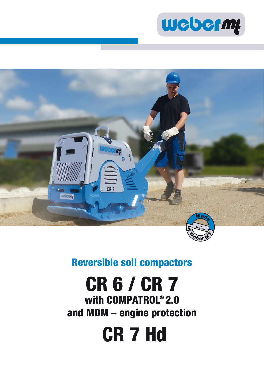



### **Reversible soil compactors**

# **CR 6 / CR 7 with COMPATROL® 2.0 and MDM – engine protection**

 **CR 7 Hd**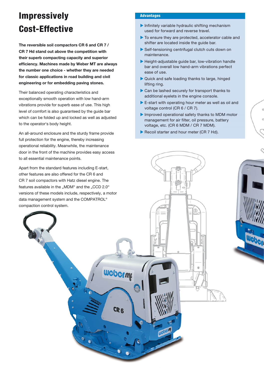## **Impressively Cost-Effective**

**The reversible soil compactors CR 6 and CR 7 / CR 7 Hd stand out above the competition with their superb compacting capacity and superior effi ciency. Machines made by Weber MT are always the number one choice - whether they are needed for classic applications in road building and civil engineering or for embedding paving stones.** 

Their balanced operating characteristics and exceptionally smooth operation with low hand-arm vibrations provide for superb ease of use. This high level of comfort is also guaranteed by the guide bar which can be folded up and locked as well as adjusted to the operator's body height.

An all-around enclosure and the sturdy frame provide full protection for the engine, thereby increasing operational reliability. Meanwhile, the maintenance door in the front of the machine provides easy access to all essential maintenance points.

#### **Advantages**

- $\blacktriangleright$  Infinitely variable hydraulic shifting mechanism used for forward and reverse travel.
- $\blacktriangleright$  To ensure they are protected, accelerator cable and shifter are located inside the guide bar.
- $\blacktriangleright$  Self-tensioning centrifugal clutch cuts down on maintenance.
- $\blacktriangleright$  Height-adjustable guide bar, low-vibration handle bar and overall low hand-arm vibrations perfect ease of use.
- $\blacktriangleright$  Quick and safe loading thanks to large, hinged lifting ring.
- $\triangleright$  Can be lashed securely for transport thanks to additional eyelets in the engine console. Gan be lashed securely for transport thanks to<br>additional eyelets in the engine console.<br>E-start with operating hour meter as well as oil and
- voltage control (CR 6 / CR 7).
- $\blacktriangleright$  Improved operational safety thanks to MDM motor Improved operational safety thanks to MDM m<br>management for air filter, oil pressure, battery voltage, etc. (CR 6 MDM / CR 7 MDM).
- $\blacktriangleright$  Recoil starter and hour meter (CR 7 Hd).

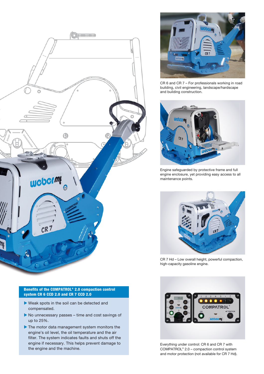



- $\blacktriangleright$  Weak spots in the soil can be detected and compensated.
- $\blacktriangleright$  No unnecessary passes time and cost savings of up to 25%.
- $\blacktriangleright$  The motor data management system monitors the engine's oil level, the oil temperature and the air filter. The system indicates faults and shuts off the engine if necessary. This helps prevent damage to the engine and the machine.



CR 6 and CR 7 – For professionals working in road building, civil engineering, landscape/hardscape and building construction.



Engine safeguarded by protective frame and full engine enclosure, yet providing easy access to all maintenance points.



CR 7 Hd – Low overall height, powerful compaction, high-capacity gasoline engine.



Everything under control: CR 6 and CR 7 with COMPATROL® 2.0 – compaction control system and motor protection (not available for CR 7 Hd).